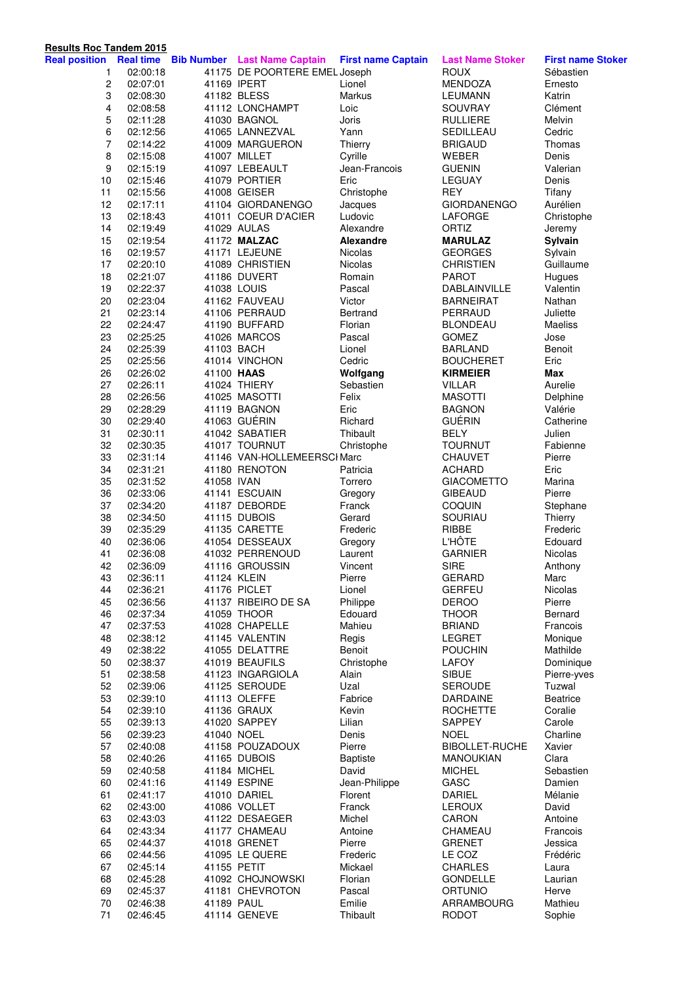| <b>Results Roc Tandem 2015</b> |          |            |                                               |                           |                         |                          |
|--------------------------------|----------|------------|-----------------------------------------------|---------------------------|-------------------------|--------------------------|
| <b>Real position</b>           |          |            | <b>Real time Bib Number Last Name Captain</b> | <b>First name Captain</b> | <b>Last Name Stoker</b> | <b>First name Stoker</b> |
| 1                              | 02:00:18 |            | 41175 DE POORTERE EMEL Joseph                 |                           | <b>ROUX</b>             | Sébastien                |
| $\overline{c}$                 | 02:07:01 |            | 41169 IPERT                                   | Lionel                    | <b>MENDOZA</b>          | Ernesto                  |
| 3                              | 02:08:30 |            | 41182 BLESS                                   | Markus                    | <b>LEUMANN</b>          | Katrin                   |
| 4                              | 02:08:58 |            | 41112 LONCHAMPT                               | Loic                      | SOUVRAY                 | Clément                  |
| 5                              | 02:11:28 |            | 41030 BAGNOL                                  | Joris                     | <b>RULLIERE</b>         | Melvin                   |
| 6                              | 02:12:56 |            | 41065 LANNEZVAL                               | Yann                      | SEDILLEAU               | Cedric                   |
| 7                              | 02:14:22 |            | 41009 MARGUERON                               | Thierry                   | <b>BRIGAUD</b>          | Thomas                   |
| 8                              | 02:15:08 |            | 41007 MILLET                                  | Cyrille                   | WEBER                   | Denis                    |
| 9                              | 02:15:19 |            | 41097 LEBEAULT                                | Jean-Francois             | <b>GUENIN</b>           | Valerian                 |
| 10                             | 02:15:46 |            | 41079 PORTIER                                 | Eric                      | LEGUAY                  | Denis                    |
| 11                             | 02:15:56 |            | 41008 GEISER                                  | Christophe                | <b>REY</b>              | Tifany                   |
| 12                             | 02:17:11 |            | 41104 GIORDANENGO                             | Jacques                   | <b>GIORDANENGO</b>      | Aurélien                 |
| 13                             | 02:18:43 |            | 41011 COEUR D'ACIER                           | Ludovic                   | <b>LAFORGE</b>          | Christophe               |
| 14                             | 02:19:49 |            | 41029 AULAS                                   | Alexandre                 | ORTIZ                   | Jeremy                   |
| 15                             | 02:19:54 |            | 41172 MALZAC                                  | <b>Alexandre</b>          | <b>MARULAZ</b>          | Sylvain                  |
| 16                             | 02:19:57 |            | 41171 LEJEUNE                                 | <b>Nicolas</b>            | <b>GEORGES</b>          | Sylvain                  |
| 17                             | 02:20:10 |            | 41089 CHRISTIEN                               | Nicolas                   | <b>CHRISTIEN</b>        | Guillaume                |
| 18                             | 02:21:07 |            | 41186 DUVERT                                  | Romain                    | <b>PAROT</b>            | Hugues                   |
| 19                             | 02:22:37 |            | 41038 LOUIS                                   | Pascal                    | DABLAINVILLE            | Valentin                 |
| 20                             | 02:23:04 |            | 41162 FAUVEAU                                 | Victor                    | <b>BARNEIRAT</b>        | Nathan                   |
| 21                             | 02:23:14 |            | 41106 PERRAUD                                 | Bertrand                  | PERRAUD                 | Juliette                 |
| 22                             | 02:24:47 |            | 41190 BUFFARD                                 | Florian                   | <b>BLONDEAU</b>         | Maeliss                  |
| 23                             | 02:25:25 |            | 41026 MARCOS                                  | Pascal                    | <b>GOMEZ</b>            | Jose                     |
| 24                             | 02:25:39 | 41103 BACH |                                               | Lionel                    | <b>BARLAND</b>          | Benoit                   |
| 25                             | 02:25:56 |            | 41014 VINCHON                                 | Cedric                    | <b>BOUCHERET</b>        | Eric                     |
| 26                             | 02:26:02 | 41100 HAAS |                                               | Wolfgang                  | <b>KIRMEIER</b>         | <b>Max</b>               |
| 27                             | 02:26:11 |            | 41024 THIERY                                  | Sebastien                 | <b>VILLAR</b>           | Aurelie                  |
| 28                             | 02:26:56 |            | 41025 MASOTTI                                 | Felix                     | <b>MASOTTI</b>          | Delphine                 |
| 29                             | 02:28:29 |            | 41119 BAGNON                                  | Eric                      | <b>BAGNON</b>           | Valérie                  |
| 30                             | 02:29:40 |            | 41063 GUÉRIN                                  | Richard                   | <b>GUÉRIN</b>           | Catherine                |
| 31                             | 02:30:11 |            | 41042 SABATIER                                | Thibault                  | <b>BELY</b>             | Julien                   |
| 32                             | 02:30:35 |            | 41017 TOURNUT                                 | Christophe                | <b>TOURNUT</b>          | Fabienne                 |
| 33                             | 02:31:14 |            | 41146 VAN-HOLLEMEERSCI Marc                   |                           | CHAUVET                 | Pierre                   |
| 34                             | 02:31:21 |            | 41180 RENOTON                                 | Patricia                  | <b>ACHARD</b>           | Eric                     |
| 35                             | 02:31:52 | 41058 IVAN |                                               | Torrero                   | <b>GIACOMETTO</b>       | Marina                   |
| 36                             | 02:33:06 |            | 41141 ESCUAIN                                 | Gregory                   | <b>GIBEAUD</b>          | Pierre                   |
| 37                             | 02:34:20 |            | 41187 DEBORDE                                 | Franck                    | COQUIN                  | Stephane                 |
| 38                             | 02:34:50 |            | 41115 DUBOIS                                  | Gerard                    | SOURIAU                 | Thierry                  |
| 39                             | 02:35:29 |            | 41135 CARETTE                                 | Frederic                  | RIBBE                   | Frederic                 |
| 40                             | 02:36:06 |            | 41054 DESSEAUX                                | Gregory                   | <b>L'HÔTE</b>           | Edouard                  |
| 41                             | 02:36:08 |            | 41032 PERRENOUD                               | Laurent                   | <b>GARNIER</b>          | Nicolas                  |
| 42                             | 02:36:09 |            | 41116 GROUSSIN                                | Vincent                   | <b>SIRE</b>             | Anthony                  |
| 43                             | 02:36:11 |            | 41124 KLEIN                                   | Pierre                    | <b>GERARD</b>           | Marc                     |
| 44                             | 02:36:21 |            | 41176 PICLET                                  | Lionel                    | <b>GERFEU</b>           | Nicolas                  |
| 45                             | 02:36:56 |            | 41137 RIBEIRO DE SA                           | Philippe                  | <b>DEROO</b>            | Pierre                   |
| 46                             | 02:37:34 |            | 41059 THOOR                                   | Edouard                   | <b>THOOR</b>            | Bernard                  |
| 47                             | 02:37:53 |            | 41028 CHAPELLE                                | Mahieu                    | <b>BRIAND</b>           | Francois                 |
| 48                             | 02:38:12 |            | 41145 VALENTIN                                | Regis                     | <b>LEGRET</b>           | Monique                  |
| 49                             | 02:38:22 |            | 41055 DELATTRE                                | Benoit                    | <b>POUCHIN</b>          | Mathilde                 |
| 50                             | 02:38:37 |            | 41019 BEAUFILS                                | Christophe                | LAFOY                   | Dominique                |
| 51                             | 02:38:58 |            | 41123 INGARGIOLA                              | Alain                     | <b>SIBUE</b>            | Pierre-yves              |
| 52                             | 02:39:06 |            | 41125 SEROUDE                                 | Uzal                      | <b>SEROUDE</b>          | Tuzwal                   |
| 53                             | 02:39:10 |            | 41113 OLEFFE                                  | Fabrice                   | <b>DARDAINE</b>         | <b>Beatrice</b>          |
| 54                             | 02:39:10 |            | 41136 GRAUX                                   | Kevin                     | <b>ROCHETTE</b>         | Coralie                  |
| 55                             | 02:39:13 |            | 41020 SAPPEY                                  | Lilian                    | <b>SAPPEY</b>           | Carole                   |
| 56                             | 02:39:23 | 41040 NOEL |                                               | Denis                     | <b>NOEL</b>             | Charline                 |
| 57                             | 02:40:08 |            | 41158 POUZADOUX                               | Pierre                    | <b>BIBOLLET-RUCHE</b>   | Xavier                   |
| 58                             | 02:40:26 |            | 41165 DUBOIS                                  | <b>Baptiste</b>           | <b>MANOUKIAN</b>        | Clara                    |
| 59                             | 02:40:58 |            | 41184 MICHEL                                  | David                     | <b>MICHEL</b>           | Sebastien                |
| 60                             | 02:41:16 |            | 41149 ESPINE                                  | Jean-Philippe             | GASC                    | Damien                   |
| 61                             | 02:41:17 |            | 41010 DARIEL                                  | Florent                   | <b>DARIEL</b>           | Mélanie                  |
| 62                             | 02:43:00 |            | 41086 VOLLET                                  | Franck                    | <b>LEROUX</b>           | David                    |
| 63                             | 02:43:03 |            | 41122 DESAEGER                                | Michel                    | CARON                   | Antoine                  |
| 64                             | 02:43:34 |            | 41177 CHAMEAU                                 | Antoine                   | CHAMEAU                 | Francois                 |
| 65                             | 02:44:37 |            | 41018 GRENET                                  | Pierre                    | <b>GRENET</b>           | Jessica                  |
| 66                             | 02:44:56 |            | 41095 LE QUERE                                | Frederic                  | LE COZ                  | Frédéric                 |
| 67                             | 02:45:14 |            | 41155 PETIT                                   | Mickael                   | <b>CHARLES</b>          | Laura                    |
| 68                             | 02:45:28 |            | 41092 CHOJNOWSKI                              | Florian                   | <b>GONDELLE</b>         | Laurian                  |
| 69                             | 02:45:37 |            | 41181 CHEVROTON                               | Pascal                    | <b>ORTUNIO</b>          | Herve                    |
| 70                             | 02:46:38 | 41189 PAUL |                                               | Emilie                    | ARRAMBOURG              | Mathieu                  |
| 71                             | 02:46:45 |            | 41114 GENEVE                                  | Thibault                  | <b>RODOT</b>            | Sophie                   |
|                                |          |            |                                               |                           |                         |                          |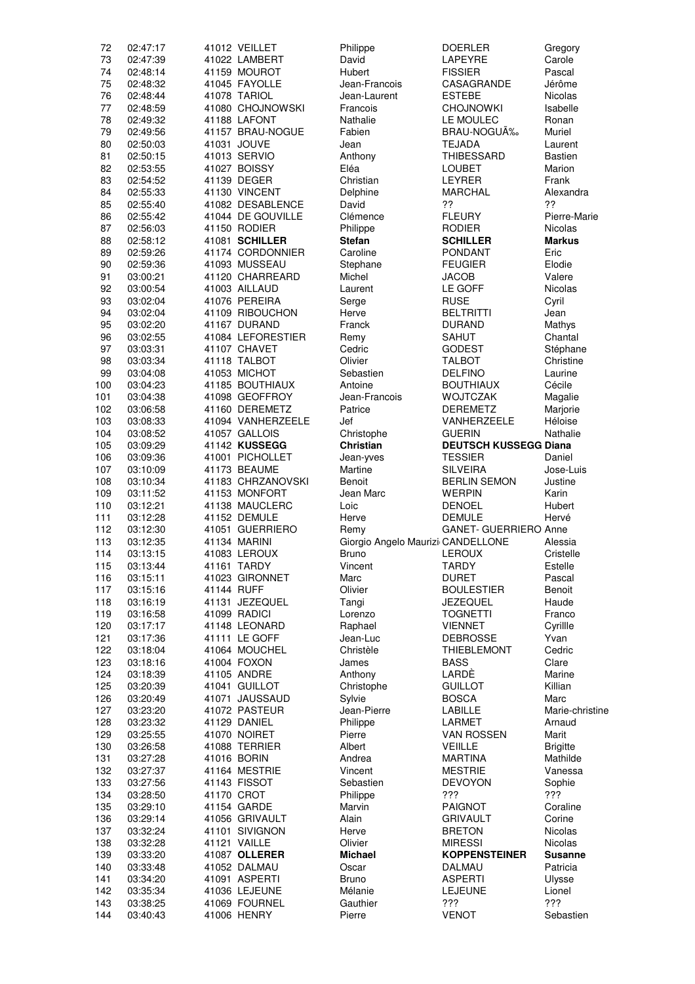| 72         | 02:47:17             |             | 41012 VEILLET                     | Philippe                          | <b>DOERLER</b>                         | Gregory                  |
|------------|----------------------|-------------|-----------------------------------|-----------------------------------|----------------------------------------|--------------------------|
| 73         | 02:47:39             |             | 41022 LAMBERT                     | David                             | LAPEYRE                                | Carole                   |
| 74         | 02:48:14             |             | 41159 MOUROT                      | Hubert                            | <b>FISSIER</b>                         | Pascal                   |
| 75         | 02:48:32             |             | 41045 FAYOLLE                     | Jean-Francois                     | CASAGRANDE                             | Jérôme                   |
| 76         | 02:48:44             |             | 41078 TARIOL                      | Jean-Laurent                      | <b>ESTEBE</b>                          | Nicolas                  |
| 77<br>78   | 02:48:59<br>02:49:32 |             | 41080 CHOJNOWSKI<br>41188 LAFONT  | Francois<br>Nathalie              | <b>CHOJNOWKI</b><br>LE MOULEC          | Isabelle<br>Ronan        |
| 79         | 02:49:56             |             | 41157 BRAU-NOGUE                  | Fabien                            | BRAU-NOGUÉ                             | Muriel                   |
| 80         | 02:50:03             |             | 41031 JOUVE                       | Jean                              | TEJADA                                 | Laurent                  |
| 81         | 02:50:15             |             | 41013 SERVIO                      | Anthony                           | <b>THIBESSARD</b>                      | <b>Bastien</b>           |
| 82         | 02:53:55             |             | 41027 BOISSY                      | Eléa                              | LOUBET                                 | Marion                   |
| 83         | 02:54:52             |             | 41139 DEGER                       | Christian                         | <b>LEYRER</b>                          | Frank                    |
| 84         | 02:55:33             |             | 41130 VINCENT                     | Delphine                          | <b>MARCHAL</b>                         | Alexandra                |
| 85         | 02:55:40             |             | 41082 DESABLENCE                  | David                             | ??                                     | 22                       |
| 86         | 02:55:42             |             | 41044 DE GOUVILLE                 | Clémence                          | <b>FLEURY</b>                          | Pierre-Marie             |
| 87         | 02:56:03             |             | 41150 RODIER                      | Philippe                          | <b>RODIER</b>                          | Nicolas                  |
| 88         | 02:58:12             |             | 41081 SCHILLER                    | <b>Stefan</b>                     | <b>SCHILLER</b>                        | <b>Markus</b>            |
| 89         | 02:59:26             |             | 41174 CORDONNIER                  | Caroline                          | <b>PONDANT</b>                         | Eric                     |
| 90         | 02:59:36             |             | 41093 MUSSEAU                     | Stephane                          | <b>FEUGIER</b>                         | Elodie                   |
| 91         | 03:00:21             |             | 41120 CHARREARD                   | Michel                            | <b>JACOB</b>                           | Valere                   |
| 92         | 03:00:54             |             | 41003 AILLAUD                     | Laurent                           | LE GOFF                                | Nicolas                  |
| 93         | 03:02:04             |             | 41076 PEREIRA                     | Serge                             | <b>RUSE</b>                            | Cyril                    |
| 94         | 03:02:04             |             | 41109 RIBOUCHON                   | Herve                             | <b>BELTRITTI</b>                       | Jean                     |
| 95<br>96   | 03:02:20             |             | 41167 DURAND<br>41084 LEFORESTIER | Franck                            | <b>DURAND</b>                          | Mathys<br>Chantal        |
| 97         | 03:02:55<br>03:03:31 |             | 41107 CHAVET                      | Remy<br>Cedric                    | <b>SAHUT</b><br><b>GODEST</b>          |                          |
| 98         | 03:03:34             |             | 41118 TALBOT                      | Olivier                           | <b>TALBOT</b>                          | Stéphane<br>Christine    |
| 99         | 03:04:08             |             | 41053 MICHOT                      | Sebastien                         | <b>DELFINO</b>                         | Laurine                  |
| 100        | 03:04:23             |             | 41185 BOUTHIAUX                   | Antoine                           | <b>BOUTHIAUX</b>                       | Cécile                   |
| 101        | 03:04:38             |             | 41098 GEOFFROY                    | Jean-Francois                     | <b>WOJTCZAK</b>                        | Magalie                  |
| 102        | 03:06:58             |             | 41160 DEREMETZ                    | Patrice                           | <b>DEREMETZ</b>                        | Marjorie                 |
| 103        | 03:08:33             |             | 41094 VANHERZEELE                 | Jef                               | VANHERZEELE                            | Héloise                  |
| 104        | 03:08:52             |             | 41057 GALLOIS                     | Christophe                        | <b>GUERIN</b>                          | Nathalie                 |
| 105        | 03:09:29             |             | 41142 KUSSEGG                     | Christian                         | <b>DEUTSCH KUSSEGG Diana</b>           |                          |
| 106        | 03:09:36             |             | 41001 PICHOLLET                   | Jean-yves                         | <b>TESSIER</b>                         | Daniel                   |
| 107<br>108 | 03:10:09<br>03:10:34 |             | 41173 BEAUME<br>41183 CHRZANOVSKI | Martine<br>Benoit                 | <b>SILVEIRA</b><br><b>BERLIN SEMON</b> | Jose-Luis<br>Justine     |
| 109        | 03:11:52             |             | 41153 MONFORT                     | Jean Marc                         | <b>WERPIN</b>                          | Karin                    |
| 110        | 03:12:21             |             | 41138 MAUCLERC                    | Loic                              | <b>DENOEL</b>                          | Hubert                   |
| 111        | 03:12:28             |             | 41152 DEMULE                      | Herve                             | <b>DEMULE</b>                          | Hervé                    |
| 112        | 03:12:30             |             | 41051 GUERRIERO                   | Remy                              | GANET- GUERRIERO Anne                  |                          |
| 113        | 03:12:35             |             | 41134 MARINI                      | Giorgio Angelo Maurizi CANDELLONE |                                        | Alessia                  |
| 114        | 03:13:15             |             | 41083 LEROUX                      | Bruno                             | <b>LEROUX</b>                          | Cristelle                |
| 115        | 03:13:44             |             | 41161 TARDY                       | Vincent                           | TARDY                                  | Estelle                  |
| 116<br>117 | 03:15:11<br>03:15:16 |             | 41023 GIRONNET<br>41144 RUFF      | Marc<br>Olivier                   | <b>DURET</b><br><b>BOULESTIER</b>      | Pascal<br>Benoit         |
| 118        | 03:16:19             |             | 41131 JEZEQUEL                    | Tangi                             | <b>JEZEQUEL</b>                        | Haude                    |
| 119        | 03:16:58             |             | 41099 RADICI                      | Lorenzo                           | <b>TOGNETTI</b>                        | Franco                   |
| 120        | 03:17:17             |             | 41148 LEONARD                     | Raphael                           | <b>VIENNET</b>                         | Cyrillle                 |
| 121        | 03:17:36             |             | 41111 LE GOFF                     | Jean-Luc                          | <b>DEBROSSE</b>                        | Yvan                     |
| 122        | 03:18:04             |             | 41064 MOUCHEL                     | Christèle                         | <b>THIEBLEMONT</b>                     | Cedric                   |
| 123        | 03:18:16             |             | 41004 FOXON                       | James                             | <b>BASS</b>                            | Clare                    |
| 124        | 03:18:39             |             | 41105 ANDRE                       | Anthony                           | LARDÈ                                  | Marine                   |
| 125<br>126 | 03:20:39<br>03:20:49 |             | 41041 GUILLOT<br>41071 JAUSSAUD   | Christophe<br>Sylvie              | <b>GUILLOT</b><br><b>BOSCA</b>         | Killian<br>Marc          |
| 127        | 03:23:20             |             | 41072 PASTEUR                     | Jean-Pierre                       | LABILLE                                | Marie-christine          |
| 128        | 03:23:32             |             | 41129 DANIEL                      | Philippe                          | <b>LARMET</b>                          | Arnaud                   |
| 129        | 03:25:55             |             | 41070 NOIRET                      | Pierre                            | <b>VAN ROSSEN</b>                      | Marit                    |
| 130        | 03:26:58             |             | 41088 TERRIER                     | Albert                            | <b>VEIILLE</b>                         | <b>Brigitte</b>          |
| 131        | 03:27:28             |             | 41016 BORIN                       | Andrea                            | <b>MARTINA</b>                         | Mathilde                 |
| 132        | 03:27:37             |             | 41164 MESTRIE                     | Vincent                           | <b>MESTRIE</b>                         | Vanessa                  |
| 133        | 03:27:56             |             | 41143 FISSOT                      | Sebastien                         | <b>DEVOYON</b>                         | Sophie                   |
| 134        | 03:28:50             |             | 41170 CROT                        | Philippe                          | ???                                    | ???                      |
| 135        | 03:29:10             |             | 41154 GARDE                       | Marvin                            | <b>PAIGNOT</b>                         | Coraline                 |
| 136<br>137 | 03:29:14<br>03:32:24 |             | 41056 GRIVAULT<br>41101 SIVIGNON  | Alain<br>Herve                    | <b>GRIVAULT</b><br><b>BRETON</b>       | Corine<br><b>Nicolas</b> |
| 138        | 03:32:28             |             | 41121 VAILLE                      | Olivier                           | <b>MIRESSI</b>                         | Nicolas                  |
| 139        | 03:33:20             |             | 41087 OLLERER                     | <b>Michael</b>                    | <b>KOPPENSTEINER</b>                   | <b>Susanne</b>           |
| 140        | 03:33:48             |             | 41052 DALMAU                      | Oscar                             | DALMAU                                 | Patricia                 |
| 141        | 03:34:20             |             | 41091 ASPERTI                     | <b>Bruno</b>                      | <b>ASPERTI</b>                         | Ulysse                   |
| 142        | 03:35:34             |             | 41036 LEJEUNE                     | Mélanie                           | <b>LEJEUNE</b>                         | Lionel                   |
| 143        | 03:38:25             |             | 41069 FOURNEL                     | Gauthier<br>Pierre                | ???<br><b>VENOT</b>                    | ???<br>Sebastien         |
| 144        | 03:40:43             | 41006 HENRY |                                   |                                   |                                        |                          |